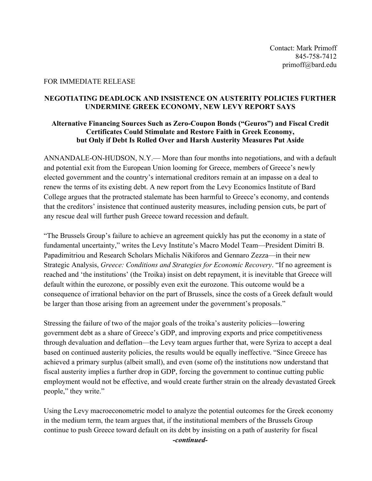## FOR IMMEDIATE RELEASE

## **NEGOTIATING DEADLOCK AND INSISTENCE ON AUSTERITY POLICIES FURTHER UNDERMINE GREEK ECONOMY, NEW LEVY REPORT SAYS**

## **Alternative Financing Sources Such as Zero-Coupon Bonds ("Geuros") and Fiscal Credit Certificates Could Stimulate and Restore Faith in Greek Economy, but Only if Debt Is Rolled Over and Harsh Austerity Measures Put Aside**

ANNANDALE-ON-HUDSON, N.Y.— More than four months into negotiations, and with a default and potential exit from the European Union looming for Greece, members of Greece's newly elected government and the country's international creditors remain at an impasse on a deal to renew the terms of its existing debt. A new report from the Levy Economics Institute of Bard College argues that the protracted stalemate has been harmful to Greece's economy, and contends that the creditors' insistence that continued austerity measures, including pension cuts, be part of any rescue deal will further push Greece toward recession and default.

"The Brussels Group's failure to achieve an agreement quickly has put the economy in a state of fundamental uncertainty," writes the Levy Institute's Macro Model Team—President Dimitri B. Papadimitriou and Research Scholars Michalis Nikiforos and Gennaro Zezza—in their new Strategic Analysis, *Greece: Conditions and Strategies for Economic Recovery*. "If no agreement is reached and 'the institutions' (the Troika) insist on debt repayment, it is inevitable that Greece will default within the eurozone, or possibly even exit the eurozone. This outcome would be a consequence of irrational behavior on the part of Brussels, since the costs of a Greek default would be larger than those arising from an agreement under the government's proposals."

Stressing the failure of two of the major goals of the troika's austerity policies—lowering government debt as a share of Greece's GDP, and improving exports and price competitiveness through devaluation and deflation—the Levy team argues further that, were Syriza to accept a deal based on continued austerity policies, the results would be equally ineffective. "Since Greece has achieved a primary surplus (albeit small), and even (some of) the institutions now understand that fiscal austerity implies a further drop in GDP, forcing the government to continue cutting public employment would not be effective, and would create further strain on the already devastated Greek people," they write."

Using the Levy macroeconometric model to analyze the potential outcomes for the Greek economy in the medium term, the team argues that, if the institutional members of the Brussels Group continue to push Greece toward default on its debt by insisting on a path of austerity for fiscal

*-continued-*